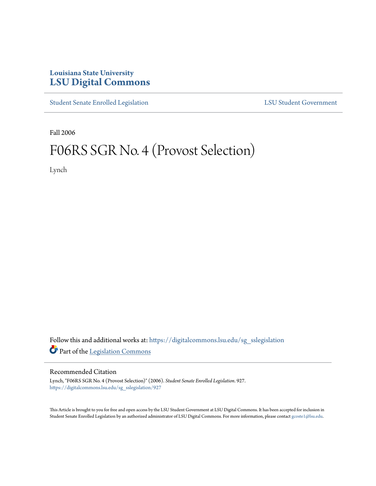## **Louisiana State University [LSU Digital Commons](https://digitalcommons.lsu.edu?utm_source=digitalcommons.lsu.edu%2Fsg_sslegislation%2F927&utm_medium=PDF&utm_campaign=PDFCoverPages)**

[Student Senate Enrolled Legislation](https://digitalcommons.lsu.edu/sg_sslegislation?utm_source=digitalcommons.lsu.edu%2Fsg_sslegislation%2F927&utm_medium=PDF&utm_campaign=PDFCoverPages) [LSU Student Government](https://digitalcommons.lsu.edu/sg?utm_source=digitalcommons.lsu.edu%2Fsg_sslegislation%2F927&utm_medium=PDF&utm_campaign=PDFCoverPages)

Fall 2006

## F06RS SGR No. 4 (Provost Selection)

Lynch

Follow this and additional works at: [https://digitalcommons.lsu.edu/sg\\_sslegislation](https://digitalcommons.lsu.edu/sg_sslegislation?utm_source=digitalcommons.lsu.edu%2Fsg_sslegislation%2F927&utm_medium=PDF&utm_campaign=PDFCoverPages) Part of the [Legislation Commons](http://network.bepress.com/hgg/discipline/859?utm_source=digitalcommons.lsu.edu%2Fsg_sslegislation%2F927&utm_medium=PDF&utm_campaign=PDFCoverPages)

## Recommended Citation

Lynch, "F06RS SGR No. 4 (Provost Selection)" (2006). *Student Senate Enrolled Legislation*. 927. [https://digitalcommons.lsu.edu/sg\\_sslegislation/927](https://digitalcommons.lsu.edu/sg_sslegislation/927?utm_source=digitalcommons.lsu.edu%2Fsg_sslegislation%2F927&utm_medium=PDF&utm_campaign=PDFCoverPages)

This Article is brought to you for free and open access by the LSU Student Government at LSU Digital Commons. It has been accepted for inclusion in Student Senate Enrolled Legislation by an authorized administrator of LSU Digital Commons. For more information, please contact [gcoste1@lsu.edu.](mailto:gcoste1@lsu.edu)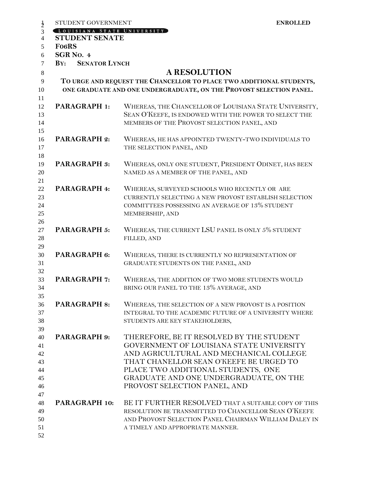| STUDENT GOVERNMENT                                          |                                                                      | <b>ENROLLED</b> |  |
|-------------------------------------------------------------|----------------------------------------------------------------------|-----------------|--|
| $\frac{1}{2}$<br>LOUISIANA STATE UNIVERSITY                 |                                                                      |                 |  |
| <b>STUDENT SENATE</b><br>$\overline{4}$                     |                                                                      |                 |  |
| Fo <sub>6</sub> RS<br>5                                     |                                                                      |                 |  |
| SGR <sub>NO</sub> . 4<br>6                                  |                                                                      |                 |  |
| <b>SENATOR LYNCH</b><br>$\mathbf{B} \mathbf{Y}$ :<br>$\tau$ |                                                                      |                 |  |
| $\,8\,$                                                     | <b>A RESOLUTION</b>                                                  |                 |  |
| 9                                                           | TO URGE AND REQUEST THE CHANCELLOR TO PLACE TWO ADDITIONAL STUDENTS, |                 |  |
| 10                                                          | ONE GRADUATE AND ONE UNDERGRADUATE, ON THE PROVOST SELECTION PANEL.  |                 |  |
| 11                                                          |                                                                      |                 |  |
| PARAGRAPH 1:<br>12                                          | WHEREAS, THE CHANCELLOR OF LOUISIANA STATE UNIVERSITY,               |                 |  |
| 13                                                          | SEAN O'KEEFE, IS ENDOWED WITH THE POWER TO SELECT THE                |                 |  |
| 14                                                          | MEMBERS OF THE PROVOST SELECTION PANEL, AND                          |                 |  |
| 15                                                          |                                                                      |                 |  |
| <b>PARAGRAPH 2:</b><br>16                                   | WHEREAS, HE HAS APPOINTED TWENTY-TWO INDIVIDUALS TO                  |                 |  |
| 17                                                          | THE SELECTION PANEL, AND                                             |                 |  |
|                                                             |                                                                      |                 |  |
| 18<br><b>PARAGRAPH 3:</b><br>19                             | WHEREAS, ONLY ONE STUDENT, PRESIDENT ODINET, HAS BEEN                |                 |  |
| 20                                                          | NAMED AS A MEMBER OF THE PANEL, AND                                  |                 |  |
|                                                             |                                                                      |                 |  |
| PARAGRAPH 4:                                                | WHEREAS, SURVEYED SCHOOLS WHO RECENTLY OR ARE                        |                 |  |
| 23                                                          | CURRENTLY SELECTING A NEW PROVOST ESTABLISH SELECTION                |                 |  |
|                                                             | COMMITTEES POSSESSING AN AVERAGE OF 13% STUDENT                      |                 |  |
|                                                             | MEMBERSHIP, AND                                                      |                 |  |
| 26                                                          |                                                                      |                 |  |
| <b>PARAGRAPH 5:</b>                                         | WHEREAS, THE CURRENT LSU PANEL IS ONLY 5% STUDENT                    |                 |  |
|                                                             | FILLED, AND                                                          |                 |  |
|                                                             |                                                                      |                 |  |
| PARAGRAPH 6:                                                | WHEREAS, THERE IS CURRENTLY NO REPRESENTATION OF                     |                 |  |
|                                                             | GRADUATE STUDENTS ON THE PANEL, AND                                  |                 |  |
|                                                             |                                                                      |                 |  |
| <b>PARAGRAPH 7:</b>                                         | WHEREAS, THE ADDITION OF TWO MORE STUDENTS WOULD                     |                 |  |
|                                                             | BRING OUR PANEL TO THE 13% AVERAGE, AND                              |                 |  |
|                                                             |                                                                      |                 |  |
| <b>PARAGRAPH 8:</b>                                         | WHEREAS, THE SELECTION OF A NEW PROVOST IS A POSITION                |                 |  |
|                                                             | INTEGRAL TO THE ACADEMIC FUTURE OF A UNIVERSITY WHERE                |                 |  |
|                                                             | STUDENTS ARE KEY STAKEHOLDERS,                                       |                 |  |
|                                                             |                                                                      |                 |  |
| PARAGRAPH 9:                                                | THEREFORE, BE IT RESOLVED BY THE STUDENT                             |                 |  |
|                                                             | GOVERNMENT OF LOUISIANA STATE UNIVERSITY                             |                 |  |
|                                                             | AND AGRICULTURAL AND MECHANICAL COLLEGE                              |                 |  |
|                                                             | THAT CHANELLOR SEAN O'KEEFE BE URGED TO                              |                 |  |
|                                                             | PLACE TWO ADDITIONAL STUDENTS, ONE                                   |                 |  |
|                                                             | GRADUATE AND ONE UNDERGRADUATE, ON THE                               |                 |  |
|                                                             | PROVOST SELECTION PANEL, AND                                         |                 |  |
|                                                             |                                                                      |                 |  |
| PARAGRAPH 10:                                               | BE IT FURTHER RESOLVED THAT A SUITABLE COPY OF THIS                  |                 |  |
| 49<br>50                                                    | RESOLUTION BE TRANSMITTED TO CHANCELLOR SEAN O'KEEFE                 |                 |  |
|                                                             | AND PROVOST SELECTION PANEL CHAIRMAN WILLIAM DALEY IN                |                 |  |
|                                                             | A TIMELY AND APPROPRIATE MANNER.                                     |                 |  |
| 52                                                          |                                                                      |                 |  |